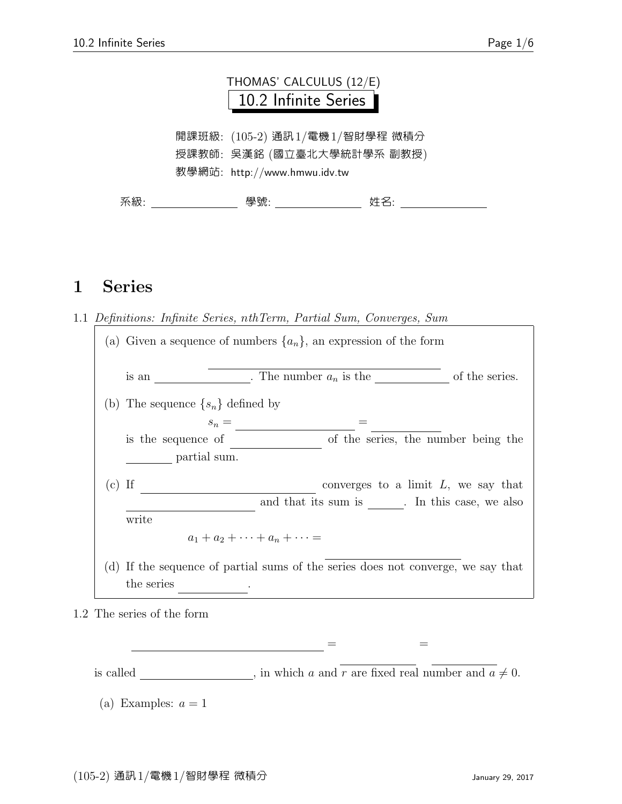### THOMAS' CALCULUS (12/E) 10.2 Infinite Series

開課班級: (105-2) 通訊1/電機1/智財學程 微積分 授課教師: 吳漢銘 (國立臺北大學統計學系 副教授) 教學網站: http://www.hmwu.idv.tw

系級: 學號: 姓名:

#### 1 Series

1.1 Definitions: Infinite Series, nthTerm, Partial Sum, Converges, Sum

|          | (a) Given a sequence of numbers $\{a_n\}$ , an expression of the form                          |
|----------|------------------------------------------------------------------------------------------------|
|          | of the series.<br>. The number $a_n$ is the<br>is an                                           |
|          | (b) The sequence $\{s_n\}$ defined by                                                          |
|          | $s_n =$                                                                                        |
|          | of the series, the number being the<br>is the sequence of                                      |
|          | partial sum.                                                                                   |
| $(c)$ If | converges to a limit $L$ , we say that                                                         |
|          | and that its sum is The this case, we also                                                     |
|          | write                                                                                          |
|          | $a_1 + a_2 + \cdots + a_n + \cdots =$                                                          |
|          | (d) If the sequence of partial sums of the series does not converge, we say that<br>the series |
|          |                                                                                                |

1.2 The series of the form

is called \_\_\_\_\_\_\_\_\_\_, in which a and  $\overline{r}$  are fixed real number and  $a \neq 0$ .

ar<sup>n</sup>−<sup>1</sup> =

<u> + ar + arn−1 + arn−1 + arn−1 + arn−1 + arn−1 + arn−1 + arn−1 + arn−1 + arn−1 + arn−1 + arn−1 + arn−1 + arn−1 + arn</u>

<sup>(</sup>a) Examples:  $a = 1$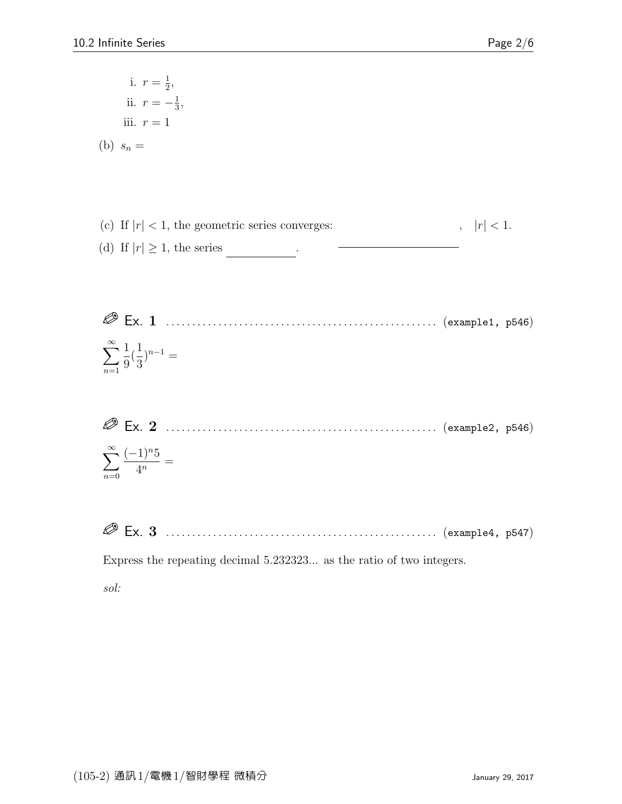i. 
$$
r = \frac{1}{2}
$$
,  
\nii.  $r = -\frac{1}{3}$ ,  
\niii.  $r = 1$   
\n(b)  $s_n =$ 

- (c) If  $|r| < 1$ , the geometric series converges:  $|r| < 1.$ (d) If  $|r| \geq 1$ , the series \_\_\_\_\_\_\_\_\_\_\_.
- Ex. 1 . . . . . . . . . . . . . . . . . . . . . . . . . . . . . . . . . . . . . . . . . . . . . . . . . . . . (example1, p546)  $\sum^{\infty}$  $n=1$ 1 9 ( 1 3  $)$ <sup>n-1</sup> =
- Ex. 2 . . . . . . . . . . . . . . . . . . . . . . . . . . . . . . . . . . . . . . . . . . . . . . . . . . . . (example2, p546)  $\sum^{\infty}$  $(-1)^{n}5$  $\frac{1}{4^n} =$
- Ex. 3 . . . . . . . . . . . . . . . . . . . . . . . . . . . . . . . . . . . . . . . . . . . . . . . . . . . . (example4, p547)

Express the repeating decimal 5.232323... as the ratio of two integers.

sol:

 $n=0$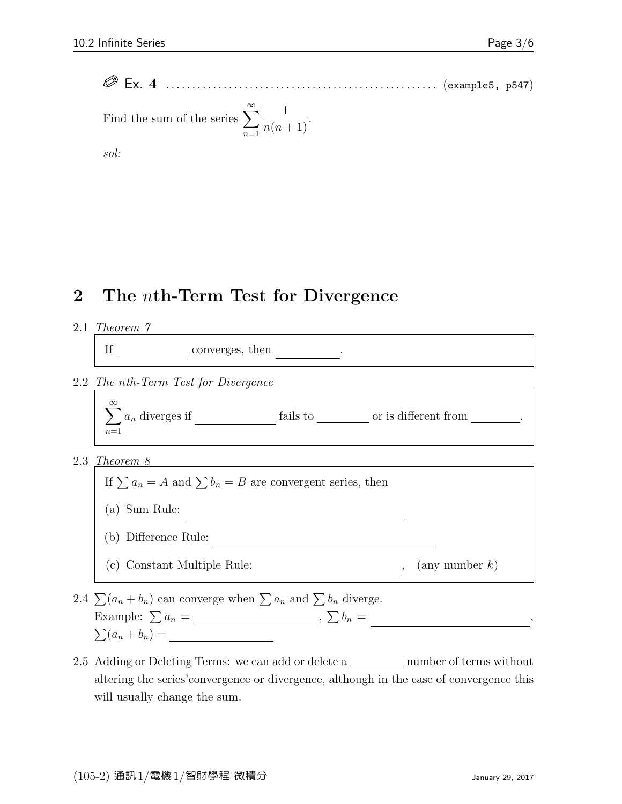Ex. 4 . . . . . . . . . . . . . . . . . . . . . . . . . . . . . . . . . . . . . . . . . . . . . . . . . . . . (example5, p547) Find the sum of the series <sup>X</sup><sup>∞</sup> n=1 1 <sup>n</sup>(<sup>n</sup> + 1).

sol:

## 2 The nth-Term Test for Divergence

2.1 Theorem 7

 $\mathbf{H}$ 

<sup>n</sup>=1 a<sup>n</sup> converges, then a<sup>n</sup> → 0 .

2.2 The nth-Term Test for Divergence

$$
\sum_{n=1}^{\infty} a_n
$$
 diverges if \_\_\_\_\_\_\_ fails to \_\_\_\_\_\_\_ or is different from \_\_\_\_\_\_\_.

2.3 Theorem 8



- 2.4  $\sum (a_n + b_n)$  can converge when  $\sum a_n$  and  $\sum b_n$  diverge. Example:  $\sum a_n = \underline{\hspace{1cm}}$ ,  $\sum b_n =$ ,  $\sum(a_n + b_n) =$
- 2.5 Adding or Deleting Terms: we can add or delete a *summer of terms* without altering the series'convergence or divergence, although in the case of convergence this will usually change the sum.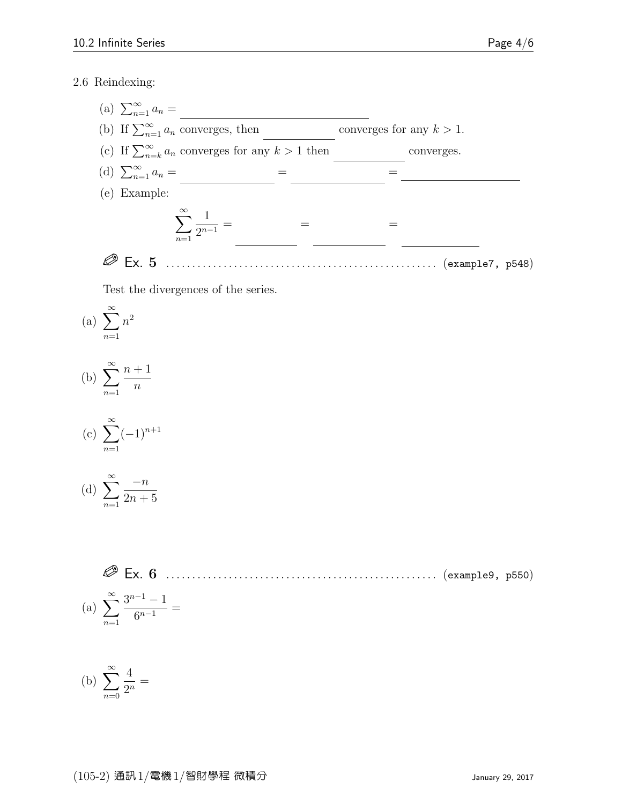#### 2.6 Reindexing:

(a)  $\sum_{n=1}^{\infty} a_n =$ (b) If  $\sum_{n=1}^{\infty} a_n$  converges, then converges for any  $k > 1$ . (c) If  $\sum_{n=k}^{\infty} a_n$  converges for any  $k > 1$  then converges. (d)  $\sum_{n=1}^{\infty} a_n =$  = = <u>- - - - + and</u> (e) Example:  $\sum^{\infty}$  $n=1$ 1  $\frac{1}{2^{n-1}} =$ 2 n = X∞ 2 n−5 = X∞ </del> Ex. 5 . . . . . . . . . . . . . . . . . . . . . . . . . . . . . . . . . . . . . . . . . . . . . . . . . . . . (example7, p548)

Test the divergences of the series.

(a) 
$$
\sum_{n=1}^{\infty} n^2
$$

(b) 
$$
\sum_{n=1}^{\infty} \frac{n+1}{n}
$$

(c) 
$$
\sum_{n=1}^{\infty} (-1)^{n+1}
$$

(d) 
$$
\sum_{n=1}^{\infty} \frac{-n}{2n+5}
$$

 Ex. 6 . . . . . . . . . . . . . . . . . . . . . . . . . . . . . . . . . . . . . . . . . . . . . . . . . . . . (example9, p550) (a) <sup>X</sup><sup>∞</sup> n=1 3 <sup>n</sup>−<sup>1</sup> − 1 6 n−1 =

(b) 
$$
\sum_{n=0}^{\infty} \frac{4}{2^n} =
$$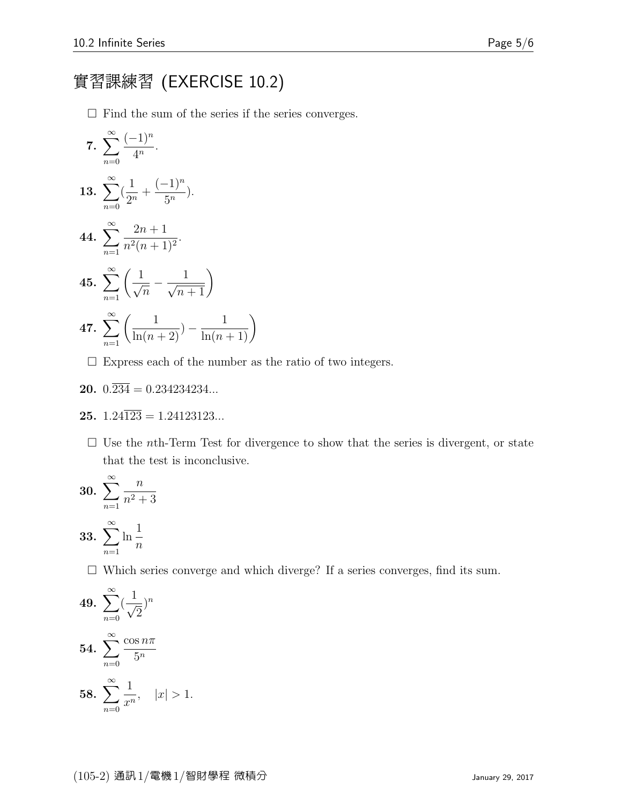# 實習課練習 (EXERCISE 10.2)

 $\Box$  Find the sum of the series if the series converges.

7. 
$$
\sum_{n=0}^{\infty} \frac{(-1)^n}{4^n}.
$$
  
13. 
$$
\sum_{n=0}^{\infty} (\frac{1}{2^n} + \frac{(-1)^n}{5^n}).
$$
  
44. 
$$
\sum_{n=1}^{\infty} \frac{2n+1}{n^2(n+1)^2}.
$$
  
45. 
$$
\sum_{n=1}^{\infty} (\frac{1}{\sqrt{n}} - \frac{1}{\sqrt{n+1}})
$$
  
47. 
$$
\sum_{n=1}^{\infty} (\frac{1}{\ln(n+2)} - \frac{1}{\ln(n+1)})
$$

 $\square$  Express each of the number as the ratio of two integers.

$$
20. \ 0.\overline{234} = 0.234234234...
$$

$$
25. \ 1.24\overline{123} = 1.24123123...
$$

 $\Box$  Use the *n*th-Term Test for divergence to show that the series is divergent, or state that the test is inconclusive.

**30.** 
$$
\sum_{n=1}^{\infty} \frac{n}{n^2 + 3}
$$
  
**33.** 
$$
\sum_{n=1}^{\infty} \ln \frac{1}{n}
$$

 $\square$  Which series converge and which diverge? If a series converges, find its sum.

**49.** 
$$
\sum_{n=0}^{\infty} \left(\frac{1}{\sqrt{2}}\right)^n
$$
  
**54.** 
$$
\sum_{n=0}^{\infty} \frac{\cos n\pi}{5^n}
$$
  
**58.** 
$$
\sum_{n=0}^{\infty} \frac{1}{x^n}, \quad |x| > 1.
$$

 $n=0$